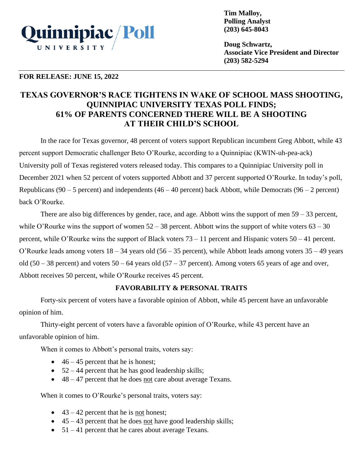

**Tim Malloy, Polling Analyst (203) 645-8043**

**Doug Schwartz, Associate Vice President and Director (203) 582-5294**

## **FOR RELEASE: JUNE 15, 2022**

# **TEXAS GOVERNOR'S RACE TIGHTENS IN WAKE OF SCHOOL MASS SHOOTING, QUINNIPIAC UNIVERSITY TEXAS POLL FINDS; 61% OF PARENTS CONCERNED THERE WILL BE A SHOOTING AT THEIR CHILD'S SCHOOL**

In the race for Texas governor, 48 percent of voters support Republican incumbent Greg Abbott, while 43 percent support Democratic challenger Beto O'Rourke, according to a Quinnipiac (KWIN-uh-pea-ack) University poll of Texas registered voters released today. This compares to a Quinnipiac University poll in December 2021 when 52 percent of voters supported Abbott and 37 percent supported O'Rourke. In today's poll, Republicans (90 – 5 percent) and independents (46 – 40 percent) back Abbott, while Democrats (96 – 2 percent) back O'Rourke.

There are also big differences by gender, race, and age. Abbott wins the support of men 59 – 33 percent, while O'Rourke wins the support of women  $52 - 38$  percent. Abbott wins the support of white voters  $63 - 30$ percent, while O'Rourke wins the support of Black voters 73 – 11 percent and Hispanic voters 50 – 41 percent. O'Rourke leads among voters 18 – 34 years old (56 – 35 percent), while Abbott leads among voters 35 – 49 years old (50 – 38 percent) and voters  $50 - 64$  years old (57 – 37 percent). Among voters 65 years of age and over, Abbott receives 50 percent, while O'Rourke receives 45 percent.

# **FAVORABILITY & PERSONAL TRAITS**

Forty-six percent of voters have a favorable opinion of Abbott, while 45 percent have an unfavorable opinion of him.

Thirty-eight percent of voters have a favorable opinion of O'Rourke, while 43 percent have an unfavorable opinion of him.

When it comes to Abbott's personal traits, voters say:

- $46 45$  percent that he is honest;
- $52 44$  percent that he has good leadership skills;
- 48 47 percent that he does not care about average Texans.

When it comes to O'Rourke's personal traits, voters say:

- $43 42$  percent that he is not honest;
- $\bullet$  45 43 percent that he does not have good leadership skills;
- 51 41 percent that he cares about average Texans.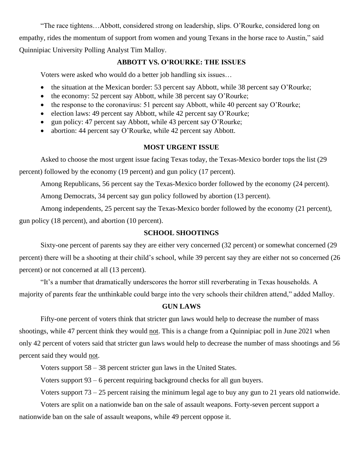"The race tightens…Abbott, considered strong on leadership, slips. O'Rourke, considered long on empathy, rides the momentum of support from women and young Texans in the horse race to Austin," said Quinnipiac University Polling Analyst Tim Malloy.

#### **ABBOTT VS. O'ROURKE: THE ISSUES**

Voters were asked who would do a better job handling six issues…

- the situation at the Mexican border: 53 percent say Abbott, while 38 percent say O'Rourke;
- the economy: 52 percent say Abbott, while 38 percent say O'Rourke;
- the response to the coronavirus: 51 percent say Abbott, while 40 percent say O'Rourke;
- election laws: 49 percent say Abbott, while 42 percent say O'Rourke;
- gun policy: 47 percent say Abbott, while 43 percent say O'Rourke;
- abortion: 44 percent say O'Rourke, while 42 percent say Abbott.

#### **MOST URGENT ISSUE**

Asked to choose the most urgent issue facing Texas today, the Texas-Mexico border tops the list (29 percent) followed by the economy (19 percent) and gun policy (17 percent).

Among Republicans, 56 percent say the Texas-Mexico border followed by the economy (24 percent).

Among Democrats, 34 percent say gun policy followed by abortion (13 percent).

Among independents, 25 percent say the Texas-Mexico border followed by the economy (21 percent), gun policy (18 percent), and abortion (10 percent).

## **SCHOOL SHOOTINGS**

Sixty-one percent of parents say they are either very concerned (32 percent) or somewhat concerned (29 percent) there will be a shooting at their child's school, while 39 percent say they are either not so concerned (26 percent) or not concerned at all (13 percent).

"It's a number that dramatically underscores the horror still reverberating in Texas households. A majority of parents fear the unthinkable could barge into the very schools their children attend," added Malloy.

## **GUN LAWS**

Fifty-one percent of voters think that stricter gun laws would help to decrease the number of mass shootings, while 47 percent think they would not. This is a change from a Quinnipiac poll in June 2021 when only 42 percent of voters said that stricter gun laws would help to decrease the number of mass shootings and 56 percent said they would not.

Voters support 58 – 38 percent stricter gun laws in the United States.

Voters support 93 – 6 percent requiring background checks for all gun buyers.

Voters support 73 – 25 percent raising the minimum legal age to buy any gun to 21 years old nationwide.

Voters are split on a nationwide ban on the sale of assault weapons. Forty-seven percent support a nationwide ban on the sale of assault weapons, while 49 percent oppose it.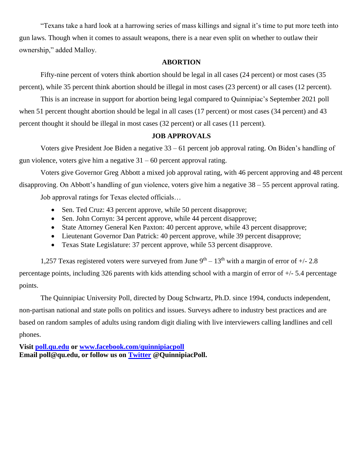"Texans take a hard look at a harrowing series of mass killings and signal it's time to put more teeth into gun laws. Though when it comes to assault weapons, there is a near even split on whether to outlaw their ownership," added Malloy.

# **ABORTION**

Fifty-nine percent of voters think abortion should be legal in all cases (24 percent) or most cases (35 percent), while 35 percent think abortion should be illegal in most cases (23 percent) or all cases (12 percent).

This is an increase in support for abortion being legal compared to Quinnipiac's September 2021 poll when 51 percent thought abortion should be legal in all cases (17 percent) or most cases (34 percent) and 43 percent thought it should be illegal in most cases (32 percent) or all cases (11 percent).

## **JOB APPROVALS**

Voters give President Joe Biden a negative 33 – 61 percent job approval rating. On Biden's handling of gun violence, voters give him a negative  $31 - 60$  percent approval rating.

Voters give Governor Greg Abbott a mixed job approval rating, with 46 percent approving and 48 percent disapproving. On Abbott's handling of gun violence, voters give him a negative 38 – 55 percent approval rating. Job approval ratings for Texas elected officials…

• Sen. Ted Cruz: 43 percent approve, while 50 percent disapprove;

- Sen. John Cornyn: 34 percent approve, while 44 percent disapprove;
- State Attorney General Ken Paxton: 40 percent approve, while 43 percent disapprove;
- Lieutenant Governor Dan Patrick: 40 percent approve, while 39 percent disapprove;
- Texas State Legislature: 37 percent approve, while 53 percent disapprove.

1,257 Texas registered voters were surveyed from June  $9<sup>th</sup> - 13<sup>th</sup>$  with a margin of error of  $+/- 2.8$ percentage points, including 326 parents with kids attending school with a margin of error of +/- 5.4 percentage points.

The Quinnipiac University Poll, directed by Doug Schwartz, Ph.D. since 1994, conducts independent, non-partisan national and state polls on politics and issues. Surveys adhere to industry best practices and are based on random samples of adults using random digit dialing with live interviewers calling landlines and cell phones.

**Visit [poll.qu.edu](https://poll.qu.edu/) or [www.facebook.com/quinnipiacpoll](http://www.facebook.com/quinnipiacpoll)  Email poll@qu.edu, or follow us on [Twitter](http://twitter.com/QuinnipiacPoll) @QuinnipiacPoll.**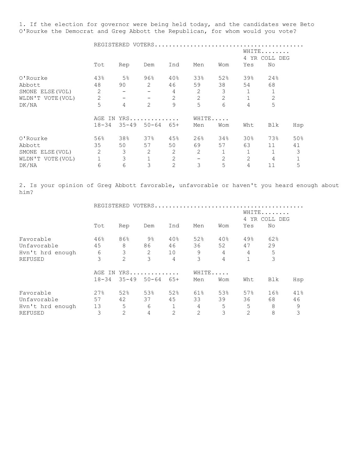1. If the election for governor were being held today, and the candidates were Beto O'Rourke the Democrat and Greg Abbott the Republican, for whom would you vote?

|                   |                | REGISTERED VOTERS |                |                           |                |     |                 |                |     |
|-------------------|----------------|-------------------|----------------|---------------------------|----------------|-----|-----------------|----------------|-----|
|                   |                |                   |                | WHITE<br>4 YR<br>COLL DEG |                |     |                 |                |     |
|                   | Tot            | Rep               | Dem            | Ind                       | Men            | Wom | Yes             | No             |     |
| 0'Rourke          | 43%            | 5 <sup>°</sup>    | $96\%$         | 40%                       | 33%            | 52% | 39%             | 24%            |     |
| Abbott            | 48             | 90                | 2              | 46                        | 59             | 38  | 54              | 68             |     |
| SMONE ELSE (VOL)  | 2              |                   |                | 4                         | 2              | 3   | $\mathbf 1$     | 1              |     |
| WLDN'T VOTE (VOL) | $\overline{c}$ |                   |                | 2                         | $\overline{2}$ | 2   | 1               | $\overline{2}$ |     |
| DK/NA             | 5              | 4                 | $\overline{2}$ | 9                         | 5              | 6   | 4               | 5              |     |
|                   | AGE IN         |                   | $YRS$          |                           | WHITE          |     |                 |                |     |
|                   | $18 - 34$      | $35 - 49$         | $50 - 64$      | $65+$                     | Men            | Wom | Wht             | Blk            | Hsp |
| 0'Rourke          | 56%            | 38%               | 37%            | 45%                       | 26%            | 34% | 30 <sub>8</sub> | 73%            | 50% |
| Abbott            | 35             | 50                | 57             | 50                        | 69             | 57  | 63              | 11             | 41  |
| SMONE ELSE (VOL)  | $\overline{c}$ | 3                 | 2              | 2                         | 2              | 1   |                 |                | 3   |
| WLDN'T VOTE (VOL) |                | 3                 | $\mathbf 1$    | $\mathbf{2}$              |                | 2   | 2               | 4              | 1   |
| DK/NA             | 6              | 6                 | 3              | $\overline{2}$            | 3              | 5   | 4               | 11             | 5   |

2. Is your opinion of Greg Abbott favorable, unfavorable or haven't you heard enough about him?

|                  |           | REGISTERED VOTERS. |                |       |     |       |                           |     |     |  |
|------------------|-----------|--------------------|----------------|-------|-----|-------|---------------------------|-----|-----|--|
|                  |           |                    |                |       |     |       | WHITE<br>YR COLL DEG<br>4 |     |     |  |
|                  | Tot       | Rep                | Dem            | Ind   | Men | Wom   | Yes                       | No  |     |  |
| Favorable        | 46%       | 86%                | $9\frac{6}{6}$ | 40%   | 52% | 40%   | 49%                       | 62% |     |  |
| Unfavorable      | 45        | 8                  | 86             | 46    | 36  | 52    | 47                        | 29  |     |  |
| Hyn't hrd enough | 6         | 3                  | 2              | 10    | 9   | 4     | 4                         | 5   |     |  |
| <b>REFUSED</b>   | 3         | 2                  | 3              | 4     | 3   | 4     |                           | 3   |     |  |
|                  | AGE<br>ΙN |                    | $YRS$          |       |     | WHITE |                           |     |     |  |
|                  | $18 - 34$ | $35 - 49$          | $50 - 64$      | $65+$ | Men | Wom   | Wht                       | Blk | Hsp |  |
| Favorable        | 27%       | 52%                | 53%            | 52%   | 61% | 53%   | 57%                       | 16% | 41% |  |
| Unfavorable      | 57        | 42                 | 37             | 45    | 33  | 39    | 36                        | 68  | 46  |  |
| Hyn't hrd enough | 13        | 5                  | 6              |       | 4   | 5     | 5                         | 8   | 9   |  |
| REFUSED          | 3         | 2                  | 4              | 2     | 2   | 3     | 2                         | 8   | 3   |  |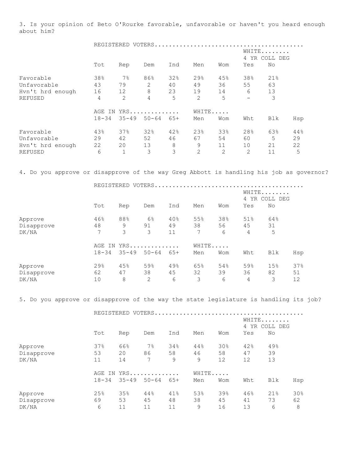3. Is your opinion of Beto O'Rourke favorable, unfavorable or haven't you heard enough about him?

|                  |            | REGISTERED VOTERS. |                |       |                |                |     |                        |     |  |  |
|------------------|------------|--------------------|----------------|-------|----------------|----------------|-----|------------------------|-----|--|--|
|                  |            |                    |                |       |                |                |     | WHITE<br>4 YR COLL DEG |     |  |  |
|                  | Tot        | Rep                | Dem            | Ind   | Men            | Wom            | Yes | No                     |     |  |  |
| Favorable        | 38%        | $7\%$              | 86%            | 32%   | 29%            | 45%            | 38% | 21%                    |     |  |  |
| Unfavorable      | 43         | 79                 | $\overline{2}$ | 40    | 49             | 36             | 55  | 63                     |     |  |  |
| Hyn't hrd enough | 16         | 12                 | 8              | 23    | 19             | 14             | 6   | 13                     |     |  |  |
| REFUSED          | 4          | $\overline{2}$     | 4              | 5     | $\overline{2}$ | 5              |     | 3                      |     |  |  |
|                  | AGE<br>ΙN. |                    | $YRS$          |       |                | WHITE          |     |                        |     |  |  |
|                  | $18 - 34$  | $35 - 49$          | $50 - 64$      | $65+$ | Men            | Wom            | Wht | Blk                    | Hsp |  |  |
| Favorable        | 43%        | 37%                | 32%            | 42%   | 23%            | 33%            | 28% | 63%                    | 44% |  |  |
| Unfavorable      | 29         | 42                 | 52             | 46    | 67             | 54             | 60  | 5                      | 29  |  |  |
| Hyn't hrd enough | 22         | 20                 | 13             | 8     | 9              | 11             | 10  | 21                     | 22  |  |  |
| <b>REFUSED</b>   | 6          | $\mathbf{1}$       | 3              | 3     | 2              | $\overline{2}$ | 2   | 11                     | 5   |  |  |

4. Do you approve or disapprove of the way Greg Abbott is handling his job as governor?

|            |           |           | REGISTERED VOTERS |       |       |     |     |                           |     |  |  |
|------------|-----------|-----------|-------------------|-------|-------|-----|-----|---------------------------|-----|--|--|
|            |           |           |                   |       |       |     |     | WHITE<br>YR COLL DEG<br>4 |     |  |  |
|            | Tot       | Rep       | Dem               | Ind   | Men   | Wom | Yes | No                        |     |  |  |
| Approve    | 46%       | 88%       | $6\%$             | 40%   | 55%   | 38% | 51% | 64%                       |     |  |  |
| Disapprove | 48        | 9         | 91                | 49    | 38    | 56  | 45  | 31                        |     |  |  |
| DK/NA      | 7         | 3         | 3                 | 11    | 7     | 6   | 4   | 5                         |     |  |  |
|            | AGE IN    |           | YRS               |       | WHITE |     |     |                           |     |  |  |
|            | $18 - 34$ | $35 - 49$ | $50 - 64$         | $65+$ | Men   | Wom | Wht | Blk                       | Hsp |  |  |
| Approve    | 29%       | 45%       | 59%               | 49%   | 65%   | 54% | 59% | 15%                       | 37% |  |  |
| Disapprove | 62        | 47        | 38                | 45    | 32    | 39  | 36  | 82                        | 51  |  |  |
| DK/NA      | 10        | 8         | 2                 | 6     | 3     | 6   | 4   | 3                         | 12  |  |  |

5. Do you approve or disapprove of the way the state legislature is handling its job?

|            |           |           | REGISTERED VOTERS |                        |     |       |     |     |     |
|------------|-----------|-----------|-------------------|------------------------|-----|-------|-----|-----|-----|
|            |           |           |                   | WHITE<br>4 YR COLL DEG |     |       |     |     |     |
|            | Tot       | Rep       | Dem               | Ind                    | Men | Wom   | Yes | No  |     |
| Approve    | 37%       | 66%       | $7\%$             | 34%                    | 44% | 30%   | 42% | 49% |     |
| Disapprove | 53        | 20        | 86                | 58                     | 46  | 58    | 47  | 39  |     |
| DK/NA      | 11        | 14        | $7\phantom{.0}$   | 9                      | 9   | 12    | 12  | 13  |     |
|            |           |           | AGE IN YRS        |                        |     | WHITE |     |     |     |
|            | $18 - 34$ | $35 - 49$ | $50 - 64$         | 65+                    | Men | Wom   | Wht | Blk | Hsp |
| Approve    | 25%       | 35%       | 44%               | 41%                    | 53% | 39%   | 46% | 21% | 30% |
| Disapprove | 69        | 53        | 45                | 48                     | 38  | 45    | 41  | 73  | 62  |
| DK/NA      | 6         | 11        | 11                | 11                     | 9   | 16    | 13  | 6   | 8   |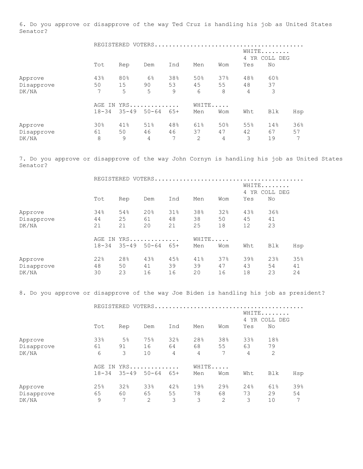6. Do you approve or disapprove of the way Ted Cruz is handling his job as United States Senator?

|            |           | REGISTERED VOTERS |           |       |                |       |                        |     |     |
|------------|-----------|-------------------|-----------|-------|----------------|-------|------------------------|-----|-----|
|            |           |                   |           |       |                |       | WHITE<br>4 YR COLL DEG |     |     |
|            | Tot       | Rep               | Dem       | Ind   | Men            | Wom   | Yes                    | No  |     |
| Approve    | 43%       | 80%               | $6\%$     | 38%   | 50%            | 37%   | 48%                    | 60% |     |
| Disapprove | 50        | 15                | 90        | 53    | 45             | 55    | 48                     | 37  |     |
| DK/NA      | 7         | 5                 | 5         | 9     | 6              | 8     | $\overline{4}$         | 3   |     |
|            | AGE<br>IN |                   | YRS       |       |                | WHITE |                        |     |     |
|            | $18 - 34$ | $35 - 49$         | $50 - 64$ | $65+$ | Men            | Wom   | Wht                    | Blk | Hsp |
| Approve    | 30%       | 41%               | 51%       | 48%   | 61%            | 50%   | 55%                    | 14% | 36% |
| Disapprove | 61        | 50                | 46        | 46    | 37             | 47    | 42                     | 67  | 57  |
| DK/NA      | 8         | 9                 | 4         | 7     | $\overline{2}$ | 4     | 3                      | 19  | 7   |

7. Do you approve or disapprove of the way John Cornyn is handling his job as United States Senator?

|            |           |           | REGISTERED VOTERS |       |                           |     |     |     |     |
|------------|-----------|-----------|-------------------|-------|---------------------------|-----|-----|-----|-----|
|            |           |           |                   |       | WHITE<br>YR COLL DEG<br>4 |     |     |     |     |
|            | Tot       | Rep       | Dem               | Ind   | Men                       | Wom | Yes | No  |     |
| Approve    | 34%       | 54%       | 20%               | 31%   | 38%                       | 32% | 43% | 36% |     |
| Disapprove | 44        | 25        | 61                | 48    | 38                        | 50  | 45  | 41  |     |
| DK/NA      | 21        | 21        | 20                | 21    | 25                        | 18  | 12  | 23  |     |
|            | AGE IN    |           | YRS               |       | WHITE                     |     |     |     |     |
|            | $18 - 34$ | $35 - 49$ | $50 - 64$         | $65+$ | Men                       | Wom | Wht | Blk | Hsp |
| Approve    | 22%       | 28%       | 43%               | 45%   | 41%                       | 37% | 39% | 23% | 35% |
| Disapprove | 48        | 50        | 41                | 39    | 39                        | 47  | 43  | 54  | 41  |
| DK/NA      | 30        | 23        | 16                | 16    | 20                        | 16  | 18  | 23  | 24  |

8. Do you approve or disapprove of the way Joe Biden is handling his job as president?

|            |           | REGISTERED VOTERS. |            |                        |       |     |     |     |     |
|------------|-----------|--------------------|------------|------------------------|-------|-----|-----|-----|-----|
|            |           |                    |            | WHITE<br>4 YR COLL DEG |       |     |     |     |     |
|            | Tot       | Rep                | Dem        | Ind                    | Men   | Wom | Yes | No  |     |
| Approve    | 33%       | 5 <sup>°</sup>     | 75%        | 32%                    | 28%   | 38% | 33% | 18% |     |
| Disapprove | 61        | 91                 | 16         | 64                     | 68    | 55  | 63  | 79  |     |
| DK/NA      | 6         | 3                  | 10         | 4                      | 4     | 7   | 4   | 2   |     |
|            |           |                    | AGE IN YRS |                        | WHITE |     |     |     |     |
|            | $18 - 34$ | $35 - 49$          | $50 - 64$  | $65+$                  | Men   | Wom | Wht | Blk | Hsp |
| Approve    | 25%       | 32%                | 33%        | 42%                    | 19%   | 29% | 24% | 61% | 39% |
| Disapprove | 65        | 60                 | 65         | 55                     | 78    | 68  | 73  | 29  | 54  |
| DK/NA      | 9         | 7                  | 2          | 3                      | 3     | 2   | 3   | 10  | 7   |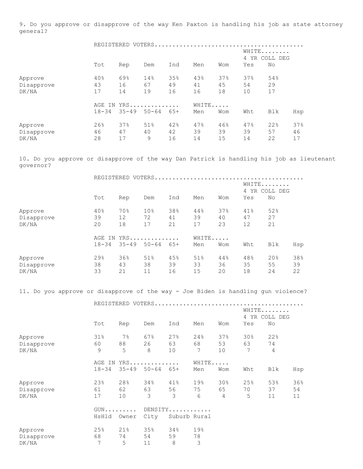9. Do you approve or disapprove of the way Ken Paxton is handling his job as state attorney general?

|            |           |           | REGISTERED VOTERS |                        |     |       |     |     |     |
|------------|-----------|-----------|-------------------|------------------------|-----|-------|-----|-----|-----|
|            |           |           |                   | WHITE<br>4 YR COLL DEG |     |       |     |     |     |
|            | Tot       | Rep       | Dem               | Ind                    | Men | Wom   | Yes | No  |     |
| Approve    | 40%       | 69%       | 14%               | 35%                    | 43% | 37%   | 37% | 54% |     |
| Disapprove | 43        | 16        | 67                | 49                     | 41  | 45    | 54  | 29  |     |
| DK/NA      | 17        | 14        | 19                | 16                     | 16  | 18    | 10  | 17  |     |
|            |           |           | AGE IN YRS        |                        |     | WHITE |     |     |     |
|            | $18 - 34$ | $35 - 49$ | $50 - 64$         | 65+                    | Men | Wom   | Wht | Blk | Hsp |
| Approve    | 26%       | 37%       | 51%               | 42%                    | 47% | 46%   | 47% | 22% | 37% |
| Disapprove | 46        | 47        | 40                | 42                     | 39  | 39    | 39  | 57  | 46  |
| DK/NA      | 28        | 17        | 9                 | 16                     | 14  | 15    | 14  | 22  | 17  |

10. Do you approve or disapprove of the way Dan Patrick is handling his job as lieutenant governor?

|            | REGISTERED |           |                 |       | VOTERS |     |                        |     |     |  |
|------------|------------|-----------|-----------------|-------|--------|-----|------------------------|-----|-----|--|
|            |            |           |                 |       |        |     | WHITE<br>4 YR COLL DEG |     |     |  |
|            | Tot        | Rep       | Dem             | Ind   | Men    | Wom | Yes                    | No  |     |  |
| Approve    | 40%        | 70%       | 10 <sup>°</sup> | 38%   | 44%    | 37% | 41%                    | 52% |     |  |
| Disapprove | 39         | 12        | 72              | 41    | 39     | 40  | 47                     | 27  |     |  |
| DK/NA      | 20         | 18        | 17              | 21    | 17     | 23  | 12                     | 21  |     |  |
|            | AGE IN YRS |           |                 |       | WHITE  |     |                        |     |     |  |
|            | $18 - 34$  | $35 - 49$ | $50 - 64$       | $65+$ | Men    | Wom | Wht                    | Blk | Hsp |  |
| Approve    | 29%        | 36%       | 51%             | 45%   | 51%    | 44% | 48%                    | 20% | 38% |  |
| Disapprove | 38         | 43        | 38              | 39    | 33     | 36  | 35                     | 55  | 39  |  |
| DK/NA      | 33         | 21        | 11              | 16    | 15     | 20  | 18                     | 24  | 22  |  |

11. Do you approve or disapprove of the way - Joe Biden is handling gun violence?

|            |                            |                     | REGISTERED VOTERS |              |       |                |     |     |     |  |  |
|------------|----------------------------|---------------------|-------------------|--------------|-------|----------------|-----|-----|-----|--|--|
|            | WHITE<br>4 YR COLL DEG     |                     |                   |              |       |                |     |     |     |  |  |
|            | Tot                        | Rep                 | Dem               | Ind          | Men   | Wom            | Yes | No  |     |  |  |
| Approve    | 31%                        | $7\%$               | 67%               | 27%          | 24%   | 37%            | 30% | 22% |     |  |  |
| Disapprove | 60                         | 88                  | 26                | 63           | 68    | 53             | 63  | 74  |     |  |  |
| DK/NA      | 9                          | 5                   | 8                 | 10           | 7     | 10             | 7   | 4   |     |  |  |
|            | AGE IN                     |                     | YRS               |              | WHITE |                |     |     |     |  |  |
|            | $18 - 34$                  | $35 - 49$ $50 - 64$ |                   | $65+$        | Men   | Wom            | Wht | Blk | Hsp |  |  |
| Approve    | 23%                        | 28%                 | 34%               | 41%          | 19%   | 30%            | 25% | 53% | 36% |  |  |
| Disapprove | 61                         | 62                  | 63                | 56           | 75    | 65             | 70  | 37  | 54  |  |  |
| DK/NA      | 17                         | 10                  | 3                 | 3            | 6     | $\overline{4}$ | 5   | 11  | 11  |  |  |
|            | $GUN \ldots \ldots \ldots$ |                     | DENSITY           |              |       |                |     |     |     |  |  |
|            | HsHld                      | Owner               | City              | Suburb Rural |       |                |     |     |     |  |  |
| Approve    | 25%                        | 21%                 | 35%               | 34%          | 19%   |                |     |     |     |  |  |
| Disapprove | 68                         | 74                  | 54                | 59           | 78    |                |     |     |     |  |  |
| DK/NA      | 7                          | 5                   | 11                | 8            | 3     |                |     |     |     |  |  |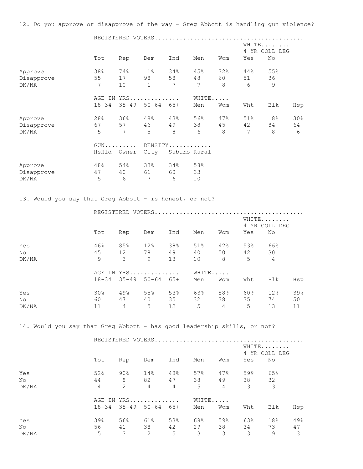12. Do you approve or disapprove of the way - Greg Abbott is handling gun violence?

 REGISTERED VOTERS.......................................... WHITE....... 4 YR COLL DEG Tot Rep Dem Ind Men Wom Yes No Approve 38% 74% 1% 34% 45% 32% 44% 55% Disapprove 55 17 98 58 48 60 51 36 DK/NA 7 10 1 7 7 8 6 9 AGE IN YRS.............. WHITE..... 18-34 35-49 50-64 65+ Men Wom Wht Blk Hsp Approve 28% 36% 48% 43% 56% 47% 51% 8% 30% Disapprove 67 57 46 49 38 45 42 84 64 DK/NA 5 7 5 8 6 8 7 8 6 GUN......... DENSITY............ HsHld Owner City Suburb Rural Approve **48% 54% 33% 34% 58%** Disapprove 47 40 61 60 33

13. Would you say that Greg Abbott - is honest, or not?

DK/NA 5 6 7 6 10

|       |               |     | REGISTERED VOTERS             |     |       |                |                        |                |     |
|-------|---------------|-----|-------------------------------|-----|-------|----------------|------------------------|----------------|-----|
|       |               |     |                               |     |       |                | WHITE<br>4 YR COLL DEG |                |     |
|       | Tot           | Rep | Dem                           | Ind | Men   | Wom            | Yes                    | No             |     |
| Yes   | 46%           | 85% | 12%                           | 38% | 51%   | 42%            | 53%                    | 66%            |     |
| No    | 45            | 12  | 78                            | 49  | 40    | 50             | 42                     | 30             |     |
| DK/NA | $\mathcal{Q}$ | 3   | 9                             | 13  | 10    | 8              | 5                      | $\overline{4}$ |     |
|       |               |     | AGE IN YRS                    |     | WHITE |                |                        |                |     |
|       |               |     | $18-34$ $35-49$ $50-64$ $65+$ |     | Men   | Wom            | Wht                    | Blk            | Hsp |
| Yes   | 30%           | 49% | 55%                           | 53% | 63%   | 58%            | 60%                    | 12%            | 39% |
| No    | 60            | 47  | 40                            | 35  | 32    | 38             | 35                     | 74             | 50  |
| DK/NA | 11            | 4   | 5                             | 12  | 5     | $\overline{4}$ | 5                      | 13             | 11  |

14. Would you say that Greg Abbott - has good leadership skills, or not?

REGISTERED VOTERS..........................................

|       |                |        |                               |                |     |                |     | WHITE<br>4 YR COLL DEG |     |  |
|-------|----------------|--------|-------------------------------|----------------|-----|----------------|-----|------------------------|-----|--|
|       | Tot            | Rep    | Dem                           | Ind            | Men | Wom            | Yes | No                     |     |  |
| Yes   | 52%            | $90\%$ | 14%                           | 48%            | 57% | 47%            | 59% | 65%                    |     |  |
| No    | 44             | 8      | 82                            | 47             | 38  | 49             | 38  | 32                     |     |  |
| DK/NA | $\overline{4}$ | 2      | $\overline{4}$                | $\overline{4}$ | 5   | $\overline{4}$ | 3   | 3                      |     |  |
|       |                |        | AGE IN YRS                    |                |     | WHITE          |     |                        |     |  |
|       |                |        | $18-34$ $35-49$ $50-64$ $65+$ |                | Men | Wom            | Wht | Blk                    | Hsp |  |
| Yes   | 39%            | 56%    | 61%                           | 53%            | 68% | 59%            | 63% | 18%                    | 49% |  |
| No    | 56             | 41     | 38                            | 42             | 29  | 38             | 34  | 73                     | 47  |  |
| DK/NA | 5              | 3      | 2                             | 5              | 3   | 3              | 3   | 9                      | 3   |  |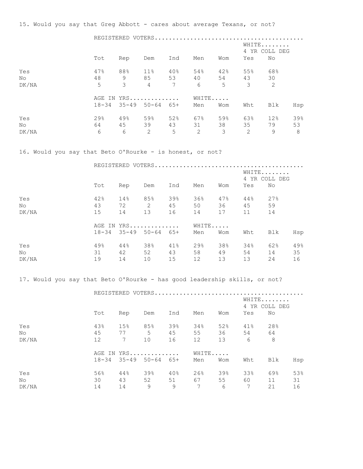15. Would you say that Greg Abbott - cares about average Texans, or not?

|       |            |               |                               |     | REGISTERED VOTERS |                |                        |     |     |  |
|-------|------------|---------------|-------------------------------|-----|-------------------|----------------|------------------------|-----|-----|--|
|       |            |               |                               |     |                   |                | WHITE<br>4 YR COLL DEG |     |     |  |
|       | Tot        | Rep           | Dem                           | Ind | Men               | Wom            | Yes                    | No  |     |  |
| Yes   | 47%        | 88%           | 11%                           | 40% | 54%               | 42%            | 55%                    | 68% |     |  |
| No    | 48         | 9             | 85 53                         |     | 40                | 54             | 43                     | 30  |     |  |
| DK/NA | 5          | $\mathcal{E}$ | $\overline{4}$                | 7   | 6                 | 5 <sup>1</sup> | 3                      | 2   |     |  |
|       | AGE IN YRS |               |                               |     | WHITE             |                |                        |     |     |  |
|       |            |               | $18-34$ $35-49$ $50-64$ $65+$ |     | Men               | Wom            | Wht                    | Blk | Hsp |  |
| Yes   | 29%        | 49%           | 59%                           | 52% | 67%               | 59%            | 63%                    | 12% | 39% |  |
| No.   | 64         |               | 45 39                         | 43  | 31                | 38             | 35                     | 79  | 53  |  |
| DK/NA | 6          | 6             | $\overline{2}$                | 5   | $\overline{2}$    | 3              | 2                      | 9   | 8   |  |

16. Would you say that Beto O'Rourke - is honest, or not?

|       |           | REGISTERED VOTERS          |     |                        |       |     |     |     |     |
|-------|-----------|----------------------------|-----|------------------------|-------|-----|-----|-----|-----|
|       |           |                            |     | WHITE<br>4 YR COLL DEG |       |     |     |     |     |
|       | Tot       | Rep                        | Dem | Ind                    | Men   | Wom | Yes | No  |     |
| Yes   | 42%       | 14%                        | 85% | 39%                    | 36%   | 47% | 44% | 27% |     |
| No    | 43        | 72                         | 2   | 45                     | 50    | 36  | 45  | 59  |     |
| DK/NA | 15        | 14                         | 13  | 16                     | 14    | 17  | 11  | 14  |     |
|       |           | AGE IN YRS                 |     |                        | WHITE |     |     |     |     |
|       | $18 - 34$ | $35 - 49$ $50 - 64$ $65 +$ |     |                        | Men   | Wom | Wht | Blk | Hsp |
| Yes   | 49%       | 44%                        | 38% | 41%                    | 29%   | 38% | 34% | 62% | 49% |
| No    | 31        | 42                         | 52  | 43                     | 58    | 49  | 54  | 14  | 35  |
| DK/NA | 19        | 14                         | 10  | 15                     | 12    | 13  | 13  | 24  | 16  |

17. Would you say that Beto O'Rourke - has good leadership skills, or not?

|       |     |     | REGISTERED VOTERS             |      |                 |     |                 |                        |     |  |  |
|-------|-----|-----|-------------------------------|------|-----------------|-----|-----------------|------------------------|-----|--|--|
|       |     |     |                               |      |                 |     |                 | WHITE<br>4 YR COLL DEG |     |  |  |
|       | Tot | Rep | Dem                           | Ind  | Men             | Wom | Yes             | No                     |     |  |  |
| Yes   | 43% | 15% | 85%                           | 39%  | 34%             | 52% | 41%             | 28%                    |     |  |  |
| No    | 45  | 77  |                               | 5 45 | 55              | 36  | 54              | 64                     |     |  |  |
| DK/NA | 12  | 7   | 10                            | 16   | 12              | 13  | 6               | 8                      |     |  |  |
|       |     |     | AGE IN YRS                    |      | WHITE           |     |                 |                        |     |  |  |
|       |     |     | $18-34$ $35-49$ $50-64$ $65+$ |      | Men             | Wom | Wht             | Blk                    | Hsp |  |  |
| Yes   | 56% | 44% | 39%                           | 40%  | 26%             | 39% | 33%             | 69%                    | 53% |  |  |
| No.   | 30  | 43  | 52                            | 51   | 67 —            | 55  | 60 —            | 11                     | 31  |  |  |
| DK/NA | 14  | 14  | 9                             | 9    | $7\phantom{.0}$ | 6   | $7\phantom{.0}$ | 21                     | 16  |  |  |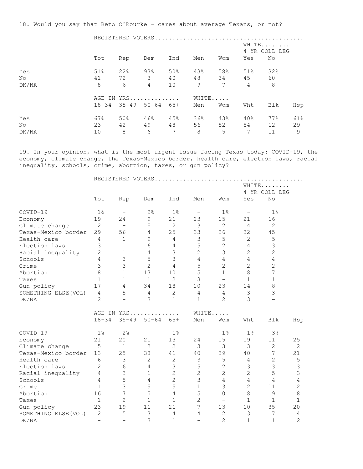18. Would you say that Beto O'Rourke - cares about average Texans, or not?

 REGISTERED VOTERS.......................................... WHITE....... 4 YR COLL DEG Tot Rep Dem Ind Men Wom Yes No Yes 51% 22% 93% 50% 43% 58% 51% 32% No 41 72 3 40 48 34 45 60 DK/NA 8 6 4 10 9 7 4 8 AGE IN YRS.............. WHITE..... 18-34 35-49 50-64 65+ Men Wom Wht Blk Hsp Yes 67% 50% 46% 45% 36% 43% 40% 77% 61% No 23 42 49 48 56 52 54 12 29 DK/NA 10 8 6 7 8 5 7 11 9

19. In your opinion, what is the most urgent issue facing Texas today: COVID-19, the economy, climate change, the Texas-Mexico border, health care, election laws, racial inequality, schools, crime, abortion, taxes, or gun policy?

|                      |                          |                          |                          |                | REGISTERED VOTERS        |                          |                          |                |                |
|----------------------|--------------------------|--------------------------|--------------------------|----------------|--------------------------|--------------------------|--------------------------|----------------|----------------|
|                      |                          |                          |                          |                |                          |                          |                          | WHITE          |                |
|                      |                          |                          |                          |                |                          |                          |                          | 4 YR COLL DEG  |                |
|                      | Tot                      | Rep                      | Dem                      | Ind            | Men                      | Wom                      | Yes                      | No             |                |
| COVID-19             | 1 <sup>°</sup>           | $\overline{\phantom{m}}$ | 2%                       | 1 <sup>°</sup> | $\qquad \qquad -$        | 1%                       | $\overline{\phantom{m}}$ | 1 <sup>°</sup> |                |
| Economy              | 19                       | 24                       | 9                        | 21             | 23                       | 15                       | 21                       | 16             |                |
| Climate change       | $\mathbf{2}$             | $\overline{\phantom{0}}$ | 5                        | $\overline{2}$ | $\mathcal{S}$            | 2                        | $\overline{4}$           | $\overline{c}$ |                |
| Texas-Mexico border  | 29                       | 56                       | $\overline{4}$           | 25             | 33                       | 26                       | 32                       | 45             |                |
| Health care          | 4                        | $\mathbf{1}$             | 9                        | 4              | 3                        | $\mathsf S$              | $\mathbf{2}$             | 5              |                |
| Election laws        | 3                        | $\mathbf{1}$             | 6                        | 4              | 5                        | $\overline{c}$           | 4                        | $\mathcal{S}$  |                |
| Racial inequality    | $\overline{2}$           | $\mathbf{1}$             | $\overline{4}$           | 3              | $\overline{2}$           | 3                        | $\overline{c}$           | $\overline{c}$ |                |
| Schools              | 4                        | 3                        | 5                        | 3              | 4                        | $\overline{4}$           | 4                        | $\overline{4}$ |                |
| Crime                | 3                        | 3                        | $\overline{c}$           | 4              | 5                        | $\overline{2}$           | $\overline{c}$           | $\overline{c}$ |                |
| Abortion             | 8                        | $\mathbf{1}$             | 13                       | 10             | 5                        | 11                       | 8                        | 7              |                |
| Taxes                | $\mathbf{1}$             | $\mathbf{1}$             | $\mathbf{1}$             | $\overline{2}$ | 3                        | $\overline{\phantom{0}}$ | $\mathbf{1}$             | $\mathbf{1}$   |                |
| Gun policy           | 17                       | 4                        | 34                       | 18             | 10                       | 23                       | 14                       | 8              |                |
| SOMETHING ELSE (VOL) | 4                        | 5                        | 4                        | $\overline{2}$ | 4                        | $\overline{4}$           | $\mathfrak{Z}$           | $\mathcal{S}$  |                |
| DK/NA                | $\overline{2}$           | $\qquad \qquad -$        | 3                        | $\mathbf{1}$   | $\mathbf{1}$             | $\overline{2}$           | 3                        |                |                |
|                      |                          | AGE IN YRS               |                          |                | WHITE                    |                          |                          |                |                |
|                      | $18 - 34$                | $35 - 49$                | $50 - 64$                | $65+$          | Men                      | Wom                      | Wht                      | <b>Blk</b>     | Hsp            |
| COVID-19             | $1\%$                    | 2 <sup>°</sup>           | $\overline{\phantom{m}}$ | 1 <sup>°</sup> | $\overline{\phantom{m}}$ | 1 <sup>°</sup>           | $1\%$                    | 3%             |                |
| Economy              | 21                       | 20                       | 21                       | 13             | 24                       | 15                       | 19                       | 11             | 25             |
| Climate change       | 5                        | $\mathbf{1}$             | $\overline{2}$           | $\overline{2}$ | 3                        | 3                        | 3                        | $\overline{c}$ | $\mathbf{2}$   |
| Texas-Mexico border  | 13                       | 25                       | 38                       | 41             | 40                       | 39                       | 40                       | 7              | 21             |
| Health care          | 6                        | $\mathcal{S}$            | $\overline{2}$           | $\mathbf{2}$   | 3                        | 5                        | $\overline{4}$           | $\overline{c}$ | $\mathsf S$    |
| Election laws        | 2                        | 6                        | $\overline{4}$           | 3              | 5                        | $\overline{c}$           | $\mathsf 3$              | 3              | $\mathsf 3$    |
| Racial inequality    | 4                        | 3                        | $\mathbf 1$              | $\mathbf{2}$   | $\overline{c}$           | $\overline{2}$           | $\overline{c}$           | 5              | $\mathfrak{Z}$ |
| Schools              | 4                        | 5                        | $\overline{4}$           | $\overline{c}$ | 3                        | $\sqrt{4}$               | 4                        | 4              | $\sqrt{4}$     |
| Crime                | $\mathbf{1}$             | 3                        | 5                        | 5              | $\mathbf 1$              | 3                        | $\overline{c}$           | 11             | $\sqrt{2}$     |
| Abortion             | 16                       | 7                        | 5                        | 4              | 5                        | 10                       | 8                        | 9              | $\,8\,$        |
| Taxes                | $\mathbf{1}$             | $\overline{2}$           | $\mathbf{1}$             | $\mathbf{1}$   | $\overline{2}$           | $\qquad \qquad -$        | $\mathbf{1}$             | $\mathbf{1}$   | $\mathbf{1}$   |
| Gun policy           | 23                       | 19                       | 11                       | 21             | 7                        | 13                       | 10                       | 35             | 20             |
| SOMETHING ELSE (VOL) | $\overline{c}$           | 5                        | 3                        | 4              | 4                        | $\overline{c}$           | 3                        | 7              | 4              |
| DK/NA                | $\overline{\phantom{0}}$ |                          | 3                        | $\mathbf 1$    | $\overline{\phantom{0}}$ | $\overline{2}$           | $\mathbf{1}$             | $\mathbf 1$    | $\overline{c}$ |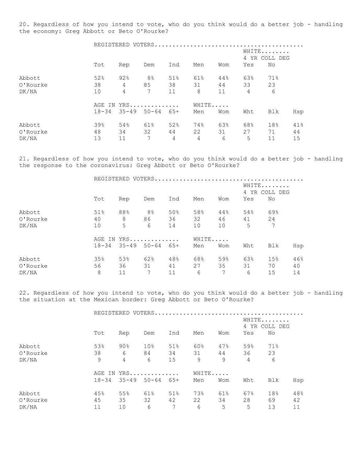20. Regardless of how you intend to vote, who do you think would do a better job - handling the economy: Greg Abbott or Beto O'Rourke?

|          |           |                | REGISTERED VOTERS |                        |       |     |                |     |     |
|----------|-----------|----------------|-------------------|------------------------|-------|-----|----------------|-----|-----|
|          |           |                |                   | WHITE<br>4 YR COLL DEG |       |     |                |     |     |
|          | Tot       | Rep            | Dem               | Ind                    | Men   | Wom | Yes            | No  |     |
| Abbott   | 52%       | 92%            | 8 <sup>°</sup>    | 51%                    | 61%   | 44% | 63%            | 71% |     |
| 0'Rourke | 38        | 4              | 85                | 38                     | 31    | 44  | 33             | 23  |     |
| DK/NA    | 10        | $\overline{4}$ | 7                 | 11                     | 8     | 11  | $\overline{4}$ | 6   |     |
|          |           |                | AGE IN YRS        |                        | WHITE |     |                |     |     |
|          | $18 - 34$ |                | $35 - 49$ 50-64   | 65+                    | Men   | Wom | Wht            | Blk | Hsp |
| Abbott   | 39%       | 54%            | 61%               | 52%                    | 74%   | 63% | 68%            | 18% | 41% |
| 0'Rourke | 48        | 34             | 32                | 44                     | 22    | 31  | 27             | 71  | 44  |
| DK/NA    | 13        | 11             | 7                 | 4                      | 4     | 6   | 5              | 11  | 15  |

21. Regardless of how you intend to vote, who do you think would do a better job - handling the response to the coronavirus: Greg Abbott or Beto O'Rourke?

|          |           | REGISTERED VOTERS |                     |     |                        |     |     |     |     |  |
|----------|-----------|-------------------|---------------------|-----|------------------------|-----|-----|-----|-----|--|
|          |           |                   |                     |     | WHITE<br>4 YR COLL DEG |     |     |     |     |  |
|          | Tot       | Rep               | Dem                 | Ind | Men                    | Wom | Yes | No. |     |  |
| Abbott   | 51%       | 88%               | 8 <sup>°</sup>      | 50% | 58%                    | 44% | 54% | 69% |     |  |
| O'Rourke | 40        | 8                 | 86                  | 36  | 32                     | 46  | 41  | 24  |     |  |
| DK/NA    | 10        | 5                 | 6                   | 14  | 10                     | 10  | 5   | 7   |     |  |
|          |           |                   | AGE IN YRS          |     | WHITE                  |     |     |     |     |  |
|          | $18 - 34$ |                   | $35 - 49$ $50 - 64$ | 65+ | Men                    | Wom | Wht | Blk | Hsp |  |
| Abbott   | 35%       | 53%               | 62%                 | 48% | 68%                    | 59% | 63% | 15% | 46% |  |
| O'Rourke | 56        | 36                | 31                  | 41  | 27                     | 35  | 31  | 70  | 40  |  |
| DK/NA    | 8         | 11                | 7                   | 11  | 6                      | 7   | 6   | 15  | 14  |  |

22. Regardless of how you intend to vote, who do you think would do a better job - handling the situation at the Mexican border: Greg Abbott or Beto O'Rourke?

|          |           | REGISTERED VOTERS. |                     |     |       |     |                |                        |     |  |
|----------|-----------|--------------------|---------------------|-----|-------|-----|----------------|------------------------|-----|--|
|          |           |                    |                     |     |       |     |                | WHITE<br>4 YR COLL DEG |     |  |
|          | Tot       | Rep                | Dem                 | Ind | Men   | Wom | Yes            | No                     |     |  |
| Abbott   | 53%       | $90\%$             | 10 <sup>°</sup>     | 51% | 60%   | 47% | 59%            | 71%                    |     |  |
| 0'Rourke | 38        | 6                  | 84                  | 34  | 31    | 44  | 36             | 23                     |     |  |
| DK/NA    | 9         | 4                  | 6                   | 15  | 9     | 9   | $\overline{4}$ | 6                      |     |  |
|          |           |                    | AGE IN YRS          |     | WHITE |     |                |                        |     |  |
|          | $18 - 34$ |                    | $35 - 49$ $50 - 64$ | 65+ | Men   | Wom | Wht            | Blk                    | Hsp |  |
| Abbott   | 45%       | 55%                | 61%                 | 51% | 73%   | 61% | 67%            | 18%                    | 48% |  |
| 0'Rourke | 45        | 35                 | 32                  | 42  | 22    | 34  | 28             | 69                     | 42  |  |
| DK/NA    | 11        | 10                 | 6                   | 7   | 6     | 5   | 5              | 13                     | 11  |  |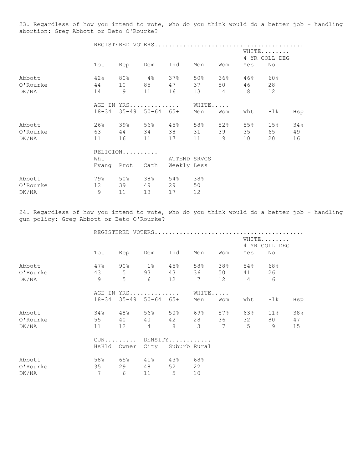23. Regardless of how you intend to vote, who do you think would do a better job - handling abortion: Greg Abbott or Beto O'Rourke?

|          | WHITE<br>4 YR COLL DEG<br>Tot<br>Rep<br>Dem<br>Ind<br>Yes<br>No<br>Men<br>Wom |          |                               |                             |       |                |                |                 |     |  |  |
|----------|-------------------------------------------------------------------------------|----------|-------------------------------|-----------------------------|-------|----------------|----------------|-----------------|-----|--|--|
|          |                                                                               |          |                               |                             |       |                |                |                 |     |  |  |
| Abbott   | 42%                                                                           | 80%      | $4\frac{8}{6}$ 37%            |                             | 50%   | 36%            | 46%            | 60%             |     |  |  |
| 0'Rourke | 44                                                                            |          |                               | 10 85 47                    | 37    | 50             | 46             | 28              |     |  |  |
| DK/NA    | 14                                                                            | 9        | 11                            | 16                          | 13    | 14             | 8 <sup>8</sup> | 12              |     |  |  |
|          |                                                                               |          | AGE IN YRS                    |                             | WHITE |                |                |                 |     |  |  |
|          |                                                                               |          | $18-34$ $35-49$ $50-64$ $65+$ |                             | Men   | Wom            | Wht            | Blk             | Hsp |  |  |
| Abbott   | 26%                                                                           | 39%      | 56%                           | 45%                         | 58%   | 52%            | 55%            | 15 <sub>8</sub> | 34% |  |  |
| 0'Rourke | 63                                                                            |          | 44 34                         | 38                          | 31    | 39             | 35             | 65              | 49  |  |  |
| DK/NA    | 11                                                                            | 16       | 11                            | 17                          | 11    | 9 <sup>°</sup> | 10             | 20              | 16  |  |  |
|          |                                                                               | RELIGION |                               |                             |       |                |                |                 |     |  |  |
|          | Wht                                                                           |          |                               | ATTEND SRVCS                |       |                |                |                 |     |  |  |
|          |                                                                               |          |                               | Evang Prot Cath Weekly Less |       |                |                |                 |     |  |  |
| Abbott   | 79%                                                                           |          | 50% 38%                       | 54%                         | 38%   |                |                |                 |     |  |  |
| O'Rourke | 12 <sup>°</sup>                                                               | 39       | 49                            | 29                          | 50    |                |                |                 |     |  |  |

DK/NA 9 11 13 17 12

24. Regardless of how you intend to vote, who do you think would do a better job - handling gun policy: Greg Abbott or Beto O'Rourke?

|          |               |                            |                       | WHITE<br>4 YR COLL DEG |         |     |                     |         |     |
|----------|---------------|----------------------------|-----------------------|------------------------|---------|-----|---------------------|---------|-----|
|          | Tot           | Rep                        | Dem                   | Ind                    | Men     | Wom | Yes                 | No      |     |
| Abbott   | 47%           |                            | $90\%$ 1% 45%         |                        | 58%     | 38% |                     | 54% 68% |     |
| O'Rourke | 43 5          |                            | 93 43                 |                        | 36      | 50  | 41 — 1              | 26      |     |
| DK/NA    | $\mathcal{G}$ | 5                          | 6 12 7                |                        |         | 12  | $\overline{4}$      | 6       |     |
|          |               |                            | AGE IN YRS            |                        | WHITE   |     |                     |         |     |
|          |               |                            | 18-34 35-49 50-64 65+ |                        | Men     | Wom | Wht                 | Blk     | Hsp |
| Abbott   | 34%           |                            | 48% 56% 50% 69%       |                        |         | 57% | 63%                 | 11%     | 38% |
| 0'Rourke | 55            | 40                         |                       | 40 42                  | 28      | 36  | 32                  | 80      | 47  |
| DK/NA    | 11            | 12 4                       |                       |                        | $8 \t3$ |     | $7 \qquad \qquad 5$ | 9       | 15  |
|          |               | $GUN \ldots \ldots \ldots$ | DENSITY               |                        |         |     |                     |         |     |
|          |               | HsHld Owner                | City Suburb Rural     |                        |         |     |                     |         |     |
| Abbott   | 58%           |                            | 65% 41% 43% 68%       |                        |         |     |                     |         |     |
| 0'Rourke | 35            | 29                         | 48                    | 52                     | 22      |     |                     |         |     |
| DK/NA    | 7             | 6                          | 11                    | 5                      | 10      |     |                     |         |     |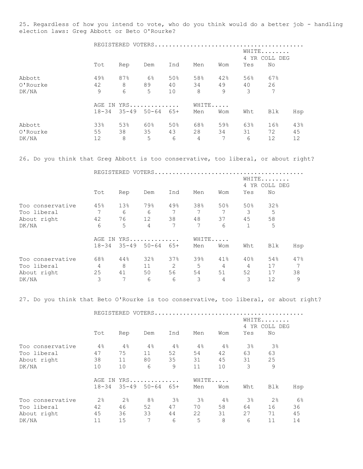25. Regardless of how you intend to vote, who do you think would do a better job - handling election laws: Greg Abbott or Beto O'Rourke?

|          |           |     | REGISTERED VOTERS |     |       |                        |     |     |     |  |
|----------|-----------|-----|-------------------|-----|-------|------------------------|-----|-----|-----|--|
|          |           |     |                   |     |       | WHITE<br>4 YR COLL DEG |     |     |     |  |
|          | Tot       | Rep | Dem               | Ind | Men   | Wom                    | Yes | No  |     |  |
| Abbott   | 49%       | 87% | $6\%$             | 50% | 58%   | 42%                    | 56% | 67% |     |  |
| O'Rourke | 42        | 8   | 89                | 40  | 34    | 49                     | 40  | 26  |     |  |
| DK/NA    | 9         | 6   | 5                 | 10  | 8     | 9                      | 3   | 7   |     |  |
|          |           |     | AGE IN YRS        |     | WHITE |                        |     |     |     |  |
|          | $18 - 34$ |     | $35 - 49$ 50-64   | 65+ | Men   | Wom                    | Wht | Blk | Hsp |  |
| Abbott   | 33%       | 53% | 60%               | 50% | 68%   | 59%                    | 63% | 16% | 43% |  |
| 0'Rourke | 55        | 38  | 35                | 43  | 28    | 34                     | 31  | 72  | 45  |  |
| DK/NA    | 12        | 8   | 5                 | 6   | 4     | 7                      | 6   | 12  | 12  |  |

26. Do you think that Greg Abbott is too conservative, too liberal, or about right?

REGISTERED VOTERS..........................................

|                  |           |           |           |       |     |     | WHITE. | $\sim$<br>4 YR COLL DEG |     |
|------------------|-----------|-----------|-----------|-------|-----|-----|--------|-------------------------|-----|
|                  | Tot       | Rep       | Dem       | Ind   | Men | Wom | Yes    | No                      |     |
| Too conservative | 45%       | 13%       | 79%       | 49%   | 38% | 50% | 50%    | 32%                     |     |
| Too liberal      |           | 6         | 6         |       |     |     | 3      | 5                       |     |
| About right      | 42        | 76        | 12        | 38    | 48  | 37  | 45     | 58                      |     |
| DK/NA            | 6         | 5         | 4         | 7     | 7   | 6   | 1      | 5                       |     |
|                  | AGE<br>IN | WHITE     |           |       |     |     |        |                         |     |
|                  | $18 - 34$ | $35 - 49$ | $50 - 64$ | $65+$ | Men | Wom | Wht    | Blk                     | Hsp |
| Too conservative | 68%       | 44%       | 32%       | 37%   | 39% | 41% | 40%    | 54%                     | 47% |
| Too liberal      | 4         | 8         | 11        | 2     | 5   | 4   | 4      | 17                      | 7   |
| About right      | 25        | 41        | 50        | 56    | 54  | 51  | 52     | 17                      | 38  |
| DK/NA            | 3         | 7         | 6         | 6     | 3   | 4   | 3      | 12                      | 9   |

27. Do you think that Beto O'Rourke is too conservative, too liberal, or about right?

|                  |                | REGISTERED VOTERS. |                |                |                        |       |                |                |     |
|------------------|----------------|--------------------|----------------|----------------|------------------------|-------|----------------|----------------|-----|
|                  |                |                    |                |                | WHITE<br>4 YR COLL DEG |       |                |                |     |
|                  | Tot            | Rep                | Dem            | Ind            | Men                    | Wom   | Yes            | No             |     |
| Too conservative | 4%             | 4%                 | 4%             | 4%             | 4%                     | 4%    | 3%             | $3\%$          |     |
| Too liberal      | 47             | 75                 | 11             | 52             | 54                     | 42    | 63             | 63             |     |
| About right      | 38             | 11                 | 80             | 35             | 31                     | 45    | 31             | 25             |     |
| DK/NA            | 10             | 10                 | 6              | 9              | 11                     | 10    | 3              | 9              |     |
|                  |                |                    | AGE IN YRS     |                |                        | WHITE |                |                |     |
|                  | $18 - 34$      | $35 - 49$          | $50 - 64$      | $65+$          | Men                    | Wom   | Wht            | Blk            | Hsp |
| Too conservative | 2 <sup>°</sup> | 2 <sup>°</sup>     | 8 <sup>°</sup> | 3 <sup>°</sup> | $3\%$                  | 4%    | 3 <sup>°</sup> | 2 <sup>°</sup> | 6%  |
| Too liberal      | 42             | 46                 | 52             | 47             | 70                     | 58    | 64             | 16             | 36  |
| About right      | 45             | 36                 | 33             | 44             | 22                     | 31    | 27             | 71             | 45  |
| DK/NA            | 11             | 15                 | 7              | 6              | 5                      | 8     | 6              | 11             | 14  |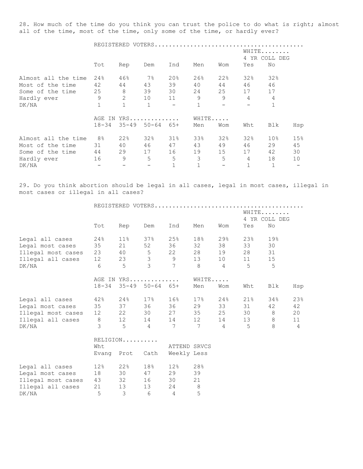28. How much of the time do you think you can trust the police to do what is right; almost all of the time, most of the time, only some of the time, or hardly ever?

|                     |                | REGISTERED VOTERS. |                            |              |             |     |                        |                 |                          |  |
|---------------------|----------------|--------------------|----------------------------|--------------|-------------|-----|------------------------|-----------------|--------------------------|--|
|                     |                |                    |                            |              |             |     | WHITE<br>4 YR COLL DEG |                 |                          |  |
|                     | Tot            | Rep                | Dem                        | Ind          | Men         | Wom | Yes                    | No              |                          |  |
| Almost all the time | 24%            | 46%                | $7\%$                      | 20%          | 26%         | 22% | 32%                    | 32%             |                          |  |
| Most of the time    | 42             | 44                 | 43                         | 39           | 40          | 44  | 46                     | 46              |                          |  |
| Some of the time    | 25             | 8                  | 39                         | 30           | 24          | 25  | 17                     | 17              |                          |  |
| Hardly ever         | 9              | 2                  | 10                         | 11           | 9           | 9   | $\overline{4}$         | $\overline{4}$  |                          |  |
| DK/NA               | 1              | $\mathbf 1$        | $\mathbf 1$                |              | $\mathbf 1$ |     |                        |                 |                          |  |
|                     |                |                    | AGE IN YRS                 |              | WHITE       |     |                        |                 |                          |  |
|                     | $18 - 34$      |                    | $35 - 49$ $50 - 64$ $65 +$ |              | Men         | Wom | Wht                    | Blk             | Hsp                      |  |
| Almost all the time | 8 <sup>°</sup> | 22%                | 32%                        | $31\%$       | 33%         | 32% | 32%                    | 10 <sub>8</sub> | 15%                      |  |
| Most of the time    | 31             | 40                 | 46                         | 47           | 43          | 49  | 46                     | 29              | 45                       |  |
| Some of the time    | 44             | 29                 | 17                         | 16           | 19          | 15  | 17                     | 42              | 30                       |  |
| Hardly ever         | 16             | 9                  | 5                          | 5            | 3           | 5   | $\overline{4}$         | 18              | 10                       |  |
| DK/NA               |                |                    |                            | $\mathbf{1}$ |             |     | $\mathbf 1$            |                 | $\overline{\phantom{m}}$ |  |

29. Do you think abortion should be legal in all cases, legal in most cases, illegal in most cases or illegal in all cases?

|                              | WHITE<br>4 YR COLL DEG |                         |                            |                                                                                         |                 |                |        |     |                |
|------------------------------|------------------------|-------------------------|----------------------------|-----------------------------------------------------------------------------------------|-----------------|----------------|--------|-----|----------------|
|                              | Tot                    | Rep                     | Dem                        | Ind                                                                                     | Men             | Wom            | Yes    | No  |                |
| Legal all cases              | $24\%$                 |                         |                            | 11% 37% 25%                                                                             | 18%             | 29%            | 23%    | 19% |                |
| Legal most cases             | 35                     |                         |                            | 21 52 36                                                                                | 32              | 38             | 33     | 30  |                |
| Illegal most cases           | 23                     |                         |                            | 40 5 22                                                                                 | 28              | 19             | 28     | 31  |                |
| Illegal all cases            | 12                     |                         |                            |                                                                                         |                 | 10             | 11     | 15  |                |
| DK/NA                        | 6                      |                         |                            | $\begin{array}{ccccccccc}\n 23 & & 3 & & 9 & & 13 \\ 5 & & 3 & & 7 & & 8\n \end{array}$ |                 | $\overline{4}$ | 5      | 5   |                |
|                              |                        |                         | AGE IN YRS                 |                                                                                         | WHITE           |                |        |     |                |
|                              | $18 - 34$              |                         | $35 - 49$ $50 - 64$ $65 +$ |                                                                                         | Men             | Wom            | Wht    | Blk | Hsp            |
| Legal all cases              |                        |                         |                            | 42% 24% 17% 16%                                                                         | 17 <sup>8</sup> | $24\%$         | $21\%$ | 34% | 23%            |
| Legal most cases 35 37 36 36 |                        |                         |                            |                                                                                         | 29              | 33             | 31     | 42  | 42             |
| Illegal most cases           | 12                     |                         |                            | 22 30 27                                                                                | 35              | 25             | 30     | 8   | 20             |
| Illegal all cases 8          |                        |                         |                            | 12 14 14 12                                                                             |                 | 14             | 13     | 8   | 11             |
| DK/NA                        | $\mathcal{E}$          | $5^{\circ}$             | $\sim$ 4                   | 7<br>$\overline{7}$                                                                     |                 | $\overline{4}$ | 5      | 8   | $\overline{4}$ |
|                              |                        | RELIGION                |                            |                                                                                         |                 |                |        |     |                |
|                              | Wht                    |                         |                            | ATTEND SRVCS                                                                            |                 |                |        |     |                |
|                              |                        |                         |                            | Evang Prot Cath Weekly Less                                                             |                 |                |        |     |                |
| Legal all cases              | 12%                    |                         | $22\%$ 18%                 | 12%                                                                                     | 28%             |                |        |     |                |
| Legal most cases             | 18                     |                         |                            | 30 47 29                                                                                | 39              |                |        |     |                |
| Illegal most cases           | 43                     |                         |                            | 32 16 30                                                                                | 21              |                |        |     |                |
| Illegal all cases            | 21                     | 13                      | 13                         | 24                                                                                      | 8               |                |        |     |                |
| DK/NA                        | 5                      | $\overline{\mathbf{3}}$ | 6                          | $\overline{4}$                                                                          | 5               |                |        |     |                |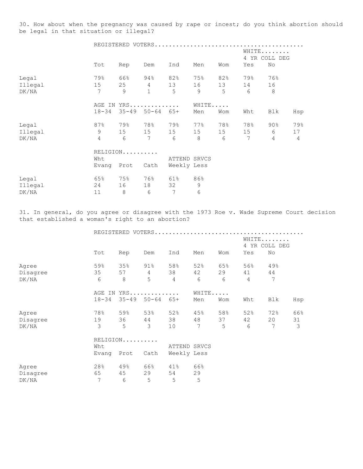30. How about when the pregnancy was caused by rape or incest; do you think abortion should be legal in that situation or illegal?

|         |                |           |                | REGISTERED VOTERS |       |     |                |                        |                |
|---------|----------------|-----------|----------------|-------------------|-------|-----|----------------|------------------------|----------------|
|         |                |           |                |                   |       |     |                | WHITE<br>4 YR COLL DEG |                |
|         | Tot            | Rep       | Dem            | Ind               | Men   | Wom | Yes            | No                     |                |
| Legal   | 79%            | 66%       | 94%            | 82%               | 75%   | 82% | 79%            | 76%                    |                |
| Illegal | 15             | 25        | $\overline{4}$ | 13                | 16    | 13  | 14             | 16                     |                |
| DK/NA   | 7              | 9         | $\mathbf 1$    | 5                 | 9     | 5   | 6              | 8                      |                |
|         |                |           | AGE IN YRS     |                   | WHITE |     |                |                        |                |
|         | $18 - 34$      | $35 - 49$ | $50 - 64$      | $65+$             | Men   | Wom | Wht            | Blk                    | Hsp            |
| Legal   | 87%            | 79%       | 78%            | 79%               | 77%   | 78% | 78%            | $90\%$                 | 79%            |
| Illegal | 9              | 15        | 15             | 15                | 15    | 15  | 15             | 6                      | 17             |
| DK/NA   | $\overline{4}$ | 6         | 7              | 6                 | 8     | 6   | $\overline{7}$ | $\overline{4}$         | $\overline{4}$ |
|         |                | RELIGION  |                |                   |       |     |                |                        |                |
|         | Wht            |           |                | ATTEND SRVCS      |       |     |                |                        |                |
|         | Evang          | Prot      | Cath           | Weekly Less       |       |     |                |                        |                |
| Legal   | 65%            | 75%       | 76%            | 61%               | 86%   |     |                |                        |                |
| Illegal | 24             | 16        | 18             | 32                | 9     |     |                |                        |                |
| DK/NA   | 11             | 8         | 6              | 7                 | 6     |     |                |                        |                |

31. In general, do you agree or disagree with the 1973 Roe v. Wade Supreme Court decision that established a woman's right to an abortion?

|          |           |           |                | REGISTERED VOTERS |       |     |                |                      |     |
|----------|-----------|-----------|----------------|-------------------|-------|-----|----------------|----------------------|-----|
|          |           |           |                |                   |       |     | 4              | WHITE<br>YR COLL DEG |     |
|          | Tot       | Rep       | Dem            | Ind               | Men   | Wom | Yes            | No                   |     |
| Agree    | 59%       | 35%       | 91%            | 58%               | 52%   | 65% | 56%            | 49%                  |     |
| Disagree | 35        | 57        | $\overline{4}$ | 38                | 42    | 29  | 41             | 44                   |     |
| DK/NA    | 6         | 8         | 5              | 4                 | 6     | 6   | $\overline{4}$ | $\overline{7}$       |     |
|          | AGE IN    |           | $YRS$          |                   | WHITE |     |                |                      |     |
|          | $18 - 34$ | $35 - 49$ | $50 - 64$      | $65+$             | Men   | Wom | Wht            | Blk                  | Hsp |
| Agree    | 78%       | 59%       | 53%            | 52%               | 45%   | 58% | 52%            | 72%                  | 66% |
| Disagree | 19        | 36        | 44             | 38                | 48    | 37  | 42             | 20                   | 31  |
| DK/NA    | 3         | 5         | 3              | 10                | 7     | 5   | 6              | 7                    | 3   |
|          |           | RELIGION  |                |                   |       |     |                |                      |     |
|          | Wht       |           |                | ATTEND SRVCS      |       |     |                |                      |     |
|          | Evang     | Prot      | Cath           | Weekly Less       |       |     |                |                      |     |
| Agree    | 28%       | 49%       | 66%            | 41%               | 66%   |     |                |                      |     |
| Disagree | 65        | 45        | 29             | 54                | 29    |     |                |                      |     |
| DK/NA    | 7         | 6         | 5              | 5                 | 5     |     |                |                      |     |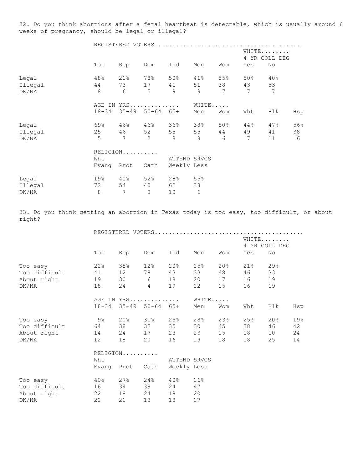32. Do you think abortions after a fetal heartbeat is detectable, which is usually around 6 weeks of pregnancy, should be legal or illegal?

|         |           |          |                     |               |                |     |                | WHITE<br>4 YR COLL DEG |     |
|---------|-----------|----------|---------------------|---------------|----------------|-----|----------------|------------------------|-----|
|         | Tot       | Rep      | Dem                 | Ind           | Men            | Wom | Yes            | No                     |     |
| Legal   | 48%       | 21%      | 78%                 | 50%           | 41%            | 55% | 50%            | 40%                    |     |
| Illegal | 44        | 73       | 17                  | 41            | 51             | 38  | 43             | 53                     |     |
| DK/NA   | 8         | 6        | 5                   | $\mathcal{Q}$ | $\overline{9}$ | 7   | 7              | 7                      |     |
|         |           |          | AGE IN YRS          |               | WHITE          |     |                |                        |     |
|         | $18 - 34$ |          | $35 - 49$ $50 - 64$ | $65+$         | Men            | Wom | Wht            | Blk                    | Hsp |
| Legal   | 69%       |          | $46\%$ $46\%$       | 36%           | 38%            | 50% | 44%            | 47%                    | 56% |
| Illegal | 25        | 46       | 52                  | 55            | 55             | 44  | 49             | 41                     | 38  |
| DK/NA   | 5         | 7        | $\overline{c}$      | 8             | 8              | 6   | $\overline{7}$ | 11                     | 6   |
|         |           | RELIGION |                     |               |                |     |                |                        |     |
|         | Wht       |          |                     | ATTEND SRVCS  |                |     |                |                        |     |
|         | Evang     | Prot     | Cath                | Weekly Less   |                |     |                |                        |     |
| Legal   | 19%       | 40%      | 52%                 | 28%           | 55%            |     |                |                        |     |
| Illegal | 72        | 54       | 40                  | 62            | 38             |     |                |                        |     |
| DK/NA   | $\,8\,$   | 7        | 8                   | 10            | 6              |     |                |                        |     |

33. Do you think getting an abortion in Texas today is too easy, too difficult, or about right?

|               |                 |          |                             |              | WHITE | 4 YR COLL DEG |     |        |     |  |
|---------------|-----------------|----------|-----------------------------|--------------|-------|---------------|-----|--------|-----|--|
|               | Tot             | Rep      | Dem                         | Ind          | Men   | Wom           | Yes | No     |     |  |
| Too easy      | 22%             | 35%      | 12%                         | $20\%$       | 25%   | 20%           | 21% | 29%    |     |  |
| Too difficult | 41              | 12       | 78                          | 43           | 33    | 48            | 46  | 33     |     |  |
| About right   | 19              | 30       | $6\overline{6}$             | 18           | 20    | 17            | 16  | 19     |     |  |
| DK/NA         | 18              | 24       | $\overline{4}$              | 19           | 22    | 15            | 16  | 19     |     |  |
|               |                 |          | AGE IN YRS                  |              | WHITE |               |     |        |     |  |
|               | $18 - 34$       |          | $35 - 49$ $50 - 64$ $65 +$  |              | Men   | Wom           | Wht | Blk    | Hsp |  |
| Too easy      | 9%              | 20%      | 31%                         | 25%          | 28%   | 23%           | 25% | $20\%$ | 19% |  |
| Too difficult |                 | 38       | 32                          | 35           | 30    | 45            | 38  | 46     | 42  |  |
| About right   | 14              | 24       | 17                          | 23           | 23    | 15            | 18  | 10     | 24  |  |
| DK/NA         | 12 <sup>°</sup> | 18       | 20                          | 16           | 19    | 18            | 18  | 25     | 14  |  |
|               |                 | RELIGION |                             |              |       |               |     |        |     |  |
|               | Wht             |          |                             | ATTEND SRVCS |       |               |     |        |     |  |
|               |                 |          | Evang Prot Cath Weekly Less |              |       |               |     |        |     |  |
| Too easy      | $40\%$          | 27%      | $24\,$ $^{\circ}$           | $40\%$       | 16%   |               |     |        |     |  |
| Too difficult | 16              | 34       | 39                          | 24           | 47    |               |     |        |     |  |
| About right   | 22              | 18       | 24                          | 18           | 20    |               |     |        |     |  |
| DK/NA         | 22              | 21       | 13                          | 18           | 17    |               |     |        |     |  |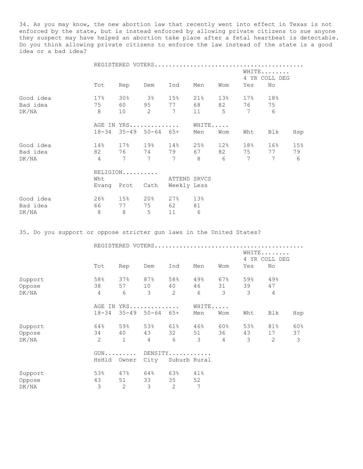34. As you may know, the new abortion law that recently went into effect in Texas is not enforced by the state, but is instead enforced by allowing private citizens to sue anyone they suspect may have helped an abortion take place after a fetal heartbeat is detectable. Do you think allowing private citizens to enforce the law instead of the state is a good idea or a bad idea?

|                                                                      | REGISTERED VOTERS<br>WHITE<br>4 YR COLL DEG |                       |                            |                              |          |                        |                       |                        |         |  |
|----------------------------------------------------------------------|---------------------------------------------|-----------------------|----------------------------|------------------------------|----------|------------------------|-----------------------|------------------------|---------|--|
|                                                                      | Tot                                         | Rep                   | Dem                        | Ind                          | Men      | Wom                    | Yes                   | No                     |         |  |
| Good idea                                                            | 17 <sup>°</sup>                             | 30 <sup>8</sup>       | $3\%$                      | 15%                          | 21%      | 13 <sup>°</sup>        | 17 <sup>°</sup>       | 18%                    |         |  |
| Bad idea<br>DK/NA                                                    | 75<br>8                                     | 60<br>10 <sup>°</sup> | 95<br>$\overline{2}$       | 77<br>$7\phantom{0}$         | 68<br>11 | 82<br>5                | 76<br>7               | 75<br>6                |         |  |
|                                                                      |                                             |                       | AGE IN YRS                 |                              | WHITE    |                        |                       |                        |         |  |
|                                                                      | $18 - 34$                                   |                       | $35 - 49$ $50 - 64$ $65 +$ |                              | Men      | Wom                    | Wht                   | Blk                    | Hsp     |  |
| Good idea                                                            | 14%                                         | 17% 19%               |                            | 14%                          | 25%      | 12%                    | 18%                   | 16%                    | 15%     |  |
| Bad idea<br>DK/NA                                                    | 82<br>$\overline{4}$                        | 76<br>$7\overline{ }$ | 74 79<br>$\overline{7}$    | $7\phantom{.0}\phantom{.0}7$ | 67<br>8  | 82<br>$6 \overline{6}$ | 75<br>$7\phantom{.0}$ | 77<br>$7\overline{ }$  | 79<br>6 |  |
|                                                                      | Wht                                         | RELIGION              |                            | ATTEND SRVCS                 |          |                        |                       |                        |         |  |
|                                                                      |                                             | Evang Prot Cath       |                            | Weekly Less                  |          |                        |                       |                        |         |  |
| Good idea                                                            | 26%                                         | 15% 20%               |                            | 27%                          | 13%      |                        |                       |                        |         |  |
| Bad idea<br>DK/NA                                                    | 66<br>8                                     | 77<br>8               | 75<br>5                    | 62<br>11                     | 81<br>6  |                        |                       |                        |         |  |
| 35. Do you support or oppose stricter gun laws in the United States? |                                             |                       |                            |                              |          |                        |                       |                        |         |  |
|                                                                      |                                             |                       | REGISTERED VOTERS          |                              |          |                        |                       | WHITE<br>4 YR COLL DEG |         |  |
|                                                                      | Tot                                         | Rep                   | Dem                        | Ind                          | Men      | Wom                    | Yes                   | No                     |         |  |
| Support                                                              | 58%                                         |                       | $37\%$ 87% 58%             |                              | $49\%$   | 67%                    | 59%                   | 49%                    |         |  |
| Oppose<br>DK/NA                                                      | 38<br>$\overline{4}$                        | 57<br>6               | 10<br>3                    | 40<br>2                      | 46<br>6  | 31<br>3                | 39<br>3               | 47<br>$\overline{4}$   |         |  |

|         |           | AGE IN YRS                 |                 |     | WHITE                   |                |     |     |     |  |
|---------|-----------|----------------------------|-----------------|-----|-------------------------|----------------|-----|-----|-----|--|
|         | $18 - 34$ |                            | $35 - 49$ 50-64 | 65+ | Men                     | Wom            | Wht | Blk | Hsp |  |
| Support | 64%       | 59%                        | 53%             | 61% | 46%                     | 60%            | 53% | 81% | 60% |  |
| Oppose  | 34        | 40                         | 43              | 32  | 51                      | 36             | 43  | 17  | 37  |  |
| DK/NA   | 2         |                            | 4               | 6   | 3                       | $\overline{4}$ | 3   | 2   | 3   |  |
|         |           | $GUN \ldots \ldots \ldots$ |                 |     | DENSITY                 |                |     |     |     |  |
|         | HsHld     |                            |                 |     | Owner City Suburb Rural |                |     |     |     |  |
| Support | 53%       | 47%                        | 64%             | 63% | 41%                     |                |     |     |     |  |
| Oppose  | 43        | 51                         | 33              | 35  | 52                      |                |     |     |     |  |
| DK/NA   | 3         | 2                          | 3               | 2   | 7                       |                |     |     |     |  |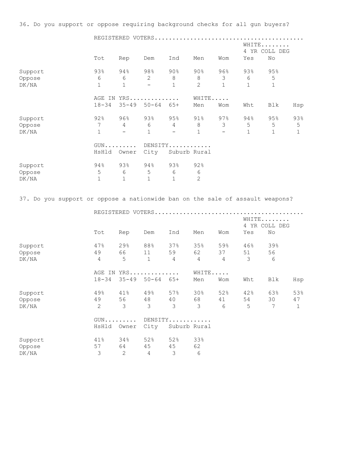36. Do you support or oppose requiring background checks for all gun buyers?

|         | REGISTERED VOTERS                                                             |              |           |              |                 |              |     |              |     |  |  |
|---------|-------------------------------------------------------------------------------|--------------|-----------|--------------|-----------------|--------------|-----|--------------|-----|--|--|
|         | WHITE<br>4 YR COLL DEG<br>Tot<br>No<br>Ind<br>Men<br>Yes<br>Rep<br>Dem<br>Wom |              |           |              |                 |              |     |              |     |  |  |
|         |                                                                               |              |           |              |                 |              |     |              |     |  |  |
| Support | 93%                                                                           | 94%          | 98%       | $90\%$       | 90 <sub>8</sub> | 96%          | 93% | 95%          |     |  |  |
| Oppose  | 6                                                                             | 6            | 2         | 8            | 8               | 3            | 6   | 5            |     |  |  |
| DK/NA   | 1                                                                             | $\mathbf{1}$ |           | $\mathbf{1}$ | $\overline{2}$  | $\mathbf{1}$ | 1   | $\mathbf 1$  |     |  |  |
|         |                                                                               |              |           |              |                 |              |     |              |     |  |  |
|         | AGE IN                                                                        |              | YRS       |              | WHITE           |              |     |              |     |  |  |
|         | $18 - 34$                                                                     | $35 - 49$    | $50 - 64$ | $65+$        | Men             | Wom          | Wht | Blk          | Hsp |  |  |
| Support | 92%                                                                           | 96%          | 93%       | 95%          | 91%             | 97%          | 94% | 95%          | 93% |  |  |
|         | 7                                                                             | 4            | 6         | 4            | 8               | 3            | 5   | 5            | 5   |  |  |
| Oppose  |                                                                               |              |           |              |                 |              |     |              |     |  |  |
| DK/NA   | 1                                                                             |              | 1         |              |                 |              | 1   | $\mathbf{1}$ |     |  |  |
|         | $GUN \ldots \ldots \ldots$                                                    |              |           | DENSITY      |                 |              |     |              |     |  |  |
|         | HsHld                                                                         | Owner        | City      | Suburb Rural |                 |              |     |              |     |  |  |
| Support | 94%                                                                           | 93%          | 94%       | 93%          | 92%             |              |     |              |     |  |  |
| Oppose  | 5                                                                             | 6            | 5         | 6            | 6               |              |     |              |     |  |  |
|         |                                                                               |              |           |              |                 |              |     |              |     |  |  |
| DK/NA   |                                                                               | 1            | 1         | $\mathbf 1$  | 2               |              |     |              |     |  |  |

37. Do you support or oppose a nationwide ban on the sale of assault weapons?

|         |                |                            |           | WHITE<br>4 YR COLL DEG<br>No<br>Yes |              |                |               |     |     |
|---------|----------------|----------------------------|-----------|-------------------------------------|--------------|----------------|---------------|-----|-----|
|         | Tot            | Rep                        | Dem       | Ind                                 | Men          | Wom            |               |     |     |
| Support | 47%            | 29%                        | 88%       | 37%                                 | 35%          | 59%            | 46%           | 39% |     |
| Oppose  | 49             | 66                         | 11        | 59                                  | 62           | 37             | 51            | 56  |     |
| DK/NA   | 4              | 5                          | $1\,$     | 4                                   | 4            | $\overline{4}$ | $\mathcal{S}$ | 6   |     |
|         |                | AGE IN YRS                 |           |                                     |              | WHITE          |               |     |     |
|         | $18 - 34$      | $35 - 49$                  | $50 - 64$ | $65+$                               | Men          | Wom            | Wht           | Blk | Hsp |
| Support | 49%            | 41%                        | 49%       | 57%                                 | 30%          | 52%            | 42%           | 63% | 53% |
| Oppose  | 49             | 56                         | 48        | 40                                  | 68           | 41             | 54            | 30  | 47  |
| DK/NA   | $\overline{2}$ | 3                          | 3         | 3                                   | 3            | 6              | 5             | 7   | 1   |
|         |                | $GUN \ldots \ldots \ldots$ |           |                                     | DENSITY      |                |               |     |     |
|         | HsHld          | Owner                      | City      |                                     | Suburb Rural |                |               |     |     |
| Support | 41%            | 34%                        | 52%       | 52%                                 | 33%          |                |               |     |     |
| Oppose  | 57             | 64                         | 45        | 45                                  | 62           |                |               |     |     |
| DK/NA   | 3              | 2                          | 4         | 3                                   | 6            |                |               |     |     |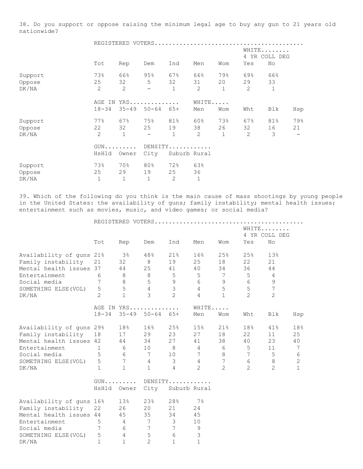38. Do you support or oppose raising the minimum legal age to buy any gun to 21 years old nationwide?

|                            |                                     |                             | REGISTERED VOTERS       |                           |                             |                           |                             |                           |           |
|----------------------------|-------------------------------------|-----------------------------|-------------------------|---------------------------|-----------------------------|---------------------------|-----------------------------|---------------------------|-----------|
|                            |                                     |                             |                         |                           | WHITE<br>4 YR COLL DEG      |                           |                             |                           |           |
|                            | Tot                                 | Rep                         | Dem                     | Ind                       | Men                         | Wom                       | Yes                         | No                        |           |
| Support<br>Oppose<br>DK/NA | 73%<br>25<br>$\overline{2}$         | 66%<br>32<br>$\overline{2}$ | 95%<br>5<br>-           | 67%<br>32<br>$\mathbf{1}$ | 66%<br>31<br>$\overline{2}$ | 79%<br>20<br>$\mathbf{1}$ | 69%<br>29<br>$\mathbf{2}$   | 66%<br>33<br>$\mathbf{1}$ |           |
|                            | $18 - 34$                           | $35 - 49$                   | AGE IN YRS<br>$50 - 64$ | $65+$                     | WHITE<br>Men                | Wom                       | Wht                         | Blk                       | Hsp       |
| Support<br>Oppose<br>DK/NA | 77%<br>22<br>$\overline{2}$         | 67%<br>32<br>$\mathbf{1}$   | 75%<br>25<br>—          | 81%<br>19<br>$\mathbf 1$  | 60%<br>38<br>2              | 73%<br>26<br>$\mathbf{1}$ | 67%<br>32<br>$\overline{2}$ | 81%<br>16<br>3            | 79%<br>21 |
|                            | $GUN \ldots \ldots \ldots$<br>HsHld | Owner                       | City                    | DENSITY<br>Suburb Rural   |                             |                           |                             |                           |           |
| Support<br>Oppose<br>DK/NA | 73%<br>25<br>$\mathbf 1$            | 70%<br>29<br>$\mathbf 1$    | 80%<br>19<br>1          | 72%<br>25<br>2            | 63%<br>36                   |                           |                             |                           |           |

39. Which of the following do you think is the main cause of mass shootings by young people in the United States: the availability of guns; family instability; mental health issues; entertainment such as movies, music, and video games; or social media?

|                          |                 |                 |                            |                 |                 |                 | WHITE          |                 |                |
|--------------------------|-----------------|-----------------|----------------------------|-----------------|-----------------|-----------------|----------------|-----------------|----------------|
|                          |                 |                 |                            |                 |                 |                 |                | 4 YR COLL DEG   |                |
|                          | Tot             | Rep             | Dem                        | Ind             | Men             | Wom             | Yes            | No              |                |
| Availability of guns 21% |                 | 3%              | 48%                        | 21%             | 16%             | 25%             | 25%            | 13%             |                |
| Family instability       | 21              | 32              | 8 <sup>8</sup>             | 19              | 25              | 18              | 22             | 21              |                |
| Mental health issues 37  |                 | 44              | 25                         | 41              | 40              | 34              | 36             | 44              |                |
| Entertainment            | 6               | 8               | 8 <sup>8</sup>             | 5               | 5               | $\overline{7}$  | 5              | 4               |                |
| Social media             | $7\phantom{.0}$ | 8               | $5\phantom{.}$             | 9               | 6               | 9               | 6              | 9               |                |
| SOMETHING ELSE (VOL)     | 5               | 5               | $4 -$                      | 3 <sup>7</sup>  | $4\degree$      | 5               | 5              | $7\phantom{.0}$ |                |
| DK/NA                    | $\overline{2}$  | $\mathbf{1}$    | $\mathfrak{Z}$             | $\overline{2}$  | $\overline{4}$  | $\mathbf{1}$    | 2              | $\overline{2}$  |                |
|                          | AGE IN YRS      |                 |                            |                 | WHITE           |                 |                |                 |                |
|                          | $18 - 34$       |                 | $35 - 49$ $50 - 64$ $65 +$ |                 | Men             | Wom             | Wht            | Blk             | Hsp            |
| Availability of guns 29% |                 | 18%             | 16%                        | 25%             | 15%             | $21\%$          | 18%            | 41%             | 18%            |
| Family instability       | 18              | 17              | 29                         | 23              | 27              | 18              | 22             | 11              | 25             |
| Mental health issues 42  |                 |                 | 44 34                      | 27              | 41              | 38              | 40             | 23              | 40             |
| Entertainment            | $\mathbf{1}$    | 6               | 10                         | 8 4             |                 | 6               | 5              | 11              | 7              |
| Social media             | $5^{\circ}$     | 6               | $7\overline{ }$            | 10              | $7\overline{ }$ | 8               | 7              | 5 <sup>5</sup>  | $6\,$          |
| SOMETHING ELSE (VOL) 5   |                 | $7\phantom{.0}$ | $\overline{4}$             | 3 <sup>7</sup>  | $4\degree$      | $7\phantom{.0}$ | 6              | 8               | $\overline{c}$ |
| DK/NA                    | $\mathbf{1}$    | $\mathbf{1}$    | $\mathbf{1}$               | $\overline{4}$  | 2               | 2               | $\overline{2}$ | $\overline{2}$  | $\mathbf{1}$   |
|                          |                 |                 |                            | GUN DENSITY     |                 |                 |                |                 |                |
|                          | HsHld           | Owner           | City                       | Suburb Rural    |                 |                 |                |                 |                |
| Availability of guns 16% |                 | 13%             | 23%                        | 28%             | $7\%$           |                 |                |                 |                |
| Family instability       | 22              | 26              | 20                         | 21              | 24              |                 |                |                 |                |
| Mental health issues 44  |                 | 45              | 35                         | 34              | 45              |                 |                |                 |                |
| Entertainment            | 5               | $4\overline{4}$ | $\overline{7}$             | $3 -$           | 10              |                 |                |                 |                |
| Social media             | $7\phantom{.0}$ | 6               | 7                          | $7\phantom{.0}$ | 9               |                 |                |                 |                |
| SOMETHING ELSE (VOL)     | 5               | $\overline{4}$  | $\mathsf S$                | 6               | $\mathfrak{Z}$  |                 |                |                 |                |
| DK/NA                    | $\mathbf{1}$    | $\mathbf{1}$    | $\overline{2}$             | $\mathbf{1}$    | $\mathbf{1}$    |                 |                |                 |                |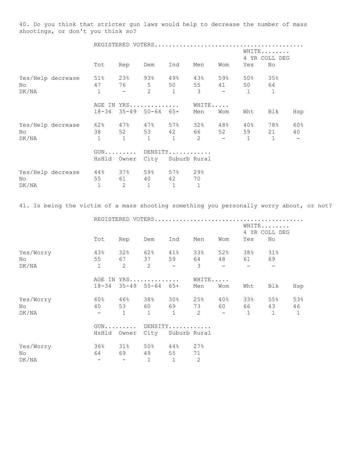40. Do you think that stricter gun laws would help to decrease the number of mass shootings, or don't you think so?

|       |                                                   | WHITE<br>4 YR COLL DEG |                                                           |                               |                |                          |     |     |                                     |     |
|-------|---------------------------------------------------|------------------------|-----------------------------------------------------------|-------------------------------|----------------|--------------------------|-----|-----|-------------------------------------|-----|
|       |                                                   | Tot                    | Rep                                                       | Dem                           | Ind            | Men                      | Wom | Yes | No                                  |     |
| Nο    | Yes/Help decrease 51% 23% 93% 49% 43% 59% 50% 35% | 47                     |                                                           | 76 5 50 55 41 50 64           |                |                          |     |     |                                     |     |
| DK/NA |                                                   | $\overline{1}$         | $\mathcal{L}^{\text{max}}$ and $\mathcal{L}^{\text{max}}$ |                               |                | $2 \t 1 \t 3 \t -1 \t 1$ |     |     |                                     |     |
|       |                                                   |                        | AGE IN YRS                                                |                               |                | WHITE                    |     |     |                                     |     |
|       |                                                   |                        |                                                           | 18-34 35-49 50-64 65+         |                | Men                      | Wom | Wht | Blk                                 | Hsp |
|       | Yes/Help decrease                                 |                        |                                                           |                               |                |                          |     |     | 62% 47% 47% 57% 32% 48% 40% 78% 60% |     |
| No.   |                                                   |                        |                                                           | 38 52 53 42 66 52 59 21       |                |                          |     |     |                                     | 40  |
| DK/NA |                                                   | $\overline{1}$         |                                                           | $1 \t 1 \t 1 \t 2 \t -1 \t 1$ |                |                          |     |     |                                     |     |
|       |                                                   |                        |                                                           | GUN DENSITY                   |                |                          |     |     |                                     |     |
|       |                                                   |                        |                                                           | HsHld Owner City Suburb Rural |                |                          |     |     |                                     |     |
|       | Yes/Help decrease 44% 37% 59% 57% 29%             |                        |                                                           |                               |                |                          |     |     |                                     |     |
| No    |                                                   | 55                     |                                                           | 61 40 42                      |                | 70                       |     |     |                                     |     |
| DK/NA |                                                   | $\mathbf{1}$           | 2                                                         | 1                             | $\overline{1}$ | $\overline{1}$           |     |     |                                     |     |

41. Is being the victim of a mass shooting something you personally worry about, or not?

|                          |                                       |                                          |                                 |                                          |                           | REGISTERED VOTERS                     |                          |                          |                           |
|--------------------------|---------------------------------------|------------------------------------------|---------------------------------|------------------------------------------|---------------------------|---------------------------------------|--------------------------|--------------------------|---------------------------|
|                          |                                       |                                          |                                 |                                          |                           |                                       | WHITE<br>4 YR COLL DEG   |                          |                           |
|                          | Tot                                   | Rep                                      | Dem                             | Ind                                      | Men                       | Wom                                   | Yes                      | No                       |                           |
| Yes/Worry<br>No<br>DK/NA | 43%<br>55<br>$\mathbf{1}$             | 32%<br>67<br>2                           | 62%<br>37<br>2                  | $41\%$<br>59<br>$\overline{\phantom{0}}$ | 33%<br>3                  | 52%<br>48                             | 38%<br>61                | 31%<br>69                |                           |
|                          | $18 - 34$                             | AGE IN YRS                               | $35 - 49$ $50 - 64$ $65 +$      |                                          | WHITE<br>Men              | Wom                                   | Wht                      | Blk                      | Hsp                       |
| Yes/Worry<br>No<br>DK/NA | 60%<br>40                             | 46%<br>53<br>$\mathbf{1}$                | 38%<br>60 — 10<br>$\mathbf{1}$  | $30\%$<br>69 — 10<br>$\mathbf{1}$        | 25%<br>73<br>2            | 40%<br>60<br>$\overline{\phantom{a}}$ | 33%<br>66<br>$\mathbf 1$ | 55%<br>43<br>$\mathbf 1$ | 53%<br>46<br>$\mathbf{1}$ |
|                          | $GUN$<br>HsHld                        | Owner                                    | DENSITY<br>City<br>Suburb Rural |                                          |                           |                                       |                          |                          |                           |
| Yes/Worry<br>No<br>DK/NA | 36%<br>64<br>$\overline{\phantom{a}}$ | $31\%$<br>69<br>$\overline{\phantom{m}}$ | 50%<br>49<br>1                  | 44%<br>55<br>$\mathbf{1}$                | 27%<br>71<br>$\mathbf{2}$ |                                       |                          |                          |                           |